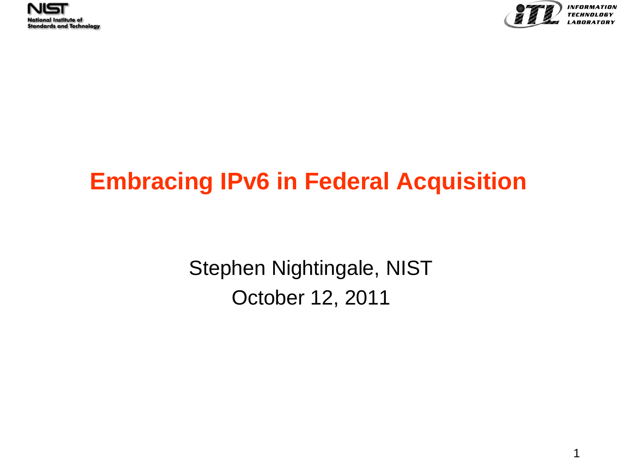



## **Embracing IPv6 in Federal Acquisition**

Stephen Nightingale, NIST October 12, 2011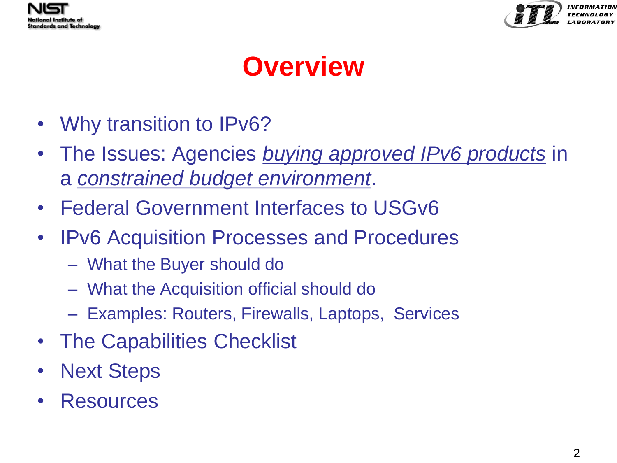



# **Overview**

- Why transition to IPv6?
- The Issues: Agencies *buying approved IPv6 products* in a *constrained budget environment*.
- Federal Government Interfaces to USGv6
- IPv6 Acquisition Processes and Procedures
	- What the Buyer should do
	- What the Acquisition official should do
	- Examples: Routers, Firewalls, Laptops, Services
- The Capabilities Checklist
- **Next Steps**
- Resources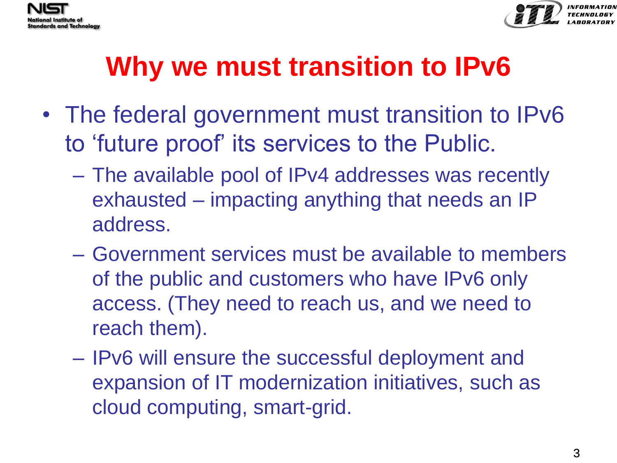



# **Why we must transition to IPv6**

- The federal government must transition to IPv6 to 'future proof' its services to the Public.
	- The available pool of IPv4 addresses was recently exhausted – impacting anything that needs an IP address.
	- Government services must be available to members of the public and customers who have IPv6 only access. (They need to reach us, and we need to reach them).
	- IPv6 will ensure the successful deployment and expansion of IT modernization initiatives, such as cloud computing, smart-grid.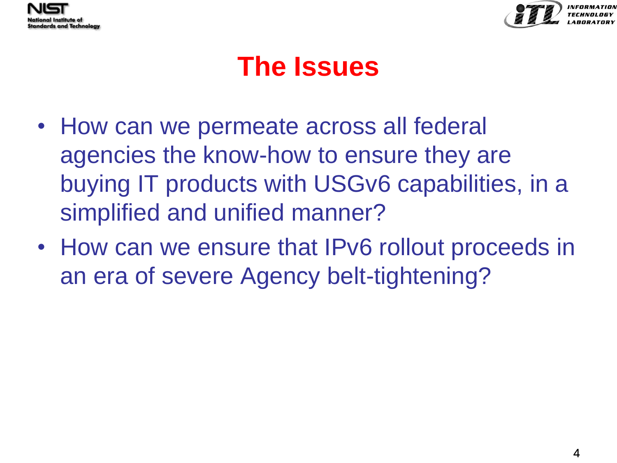



# **The Issues**

- How can we permeate across all federal agencies the know-how to ensure they are buying IT products with USGv6 capabilities, in a simplified and unified manner?
- How can we ensure that IPv6 rollout proceeds in an era of severe Agency belt-tightening?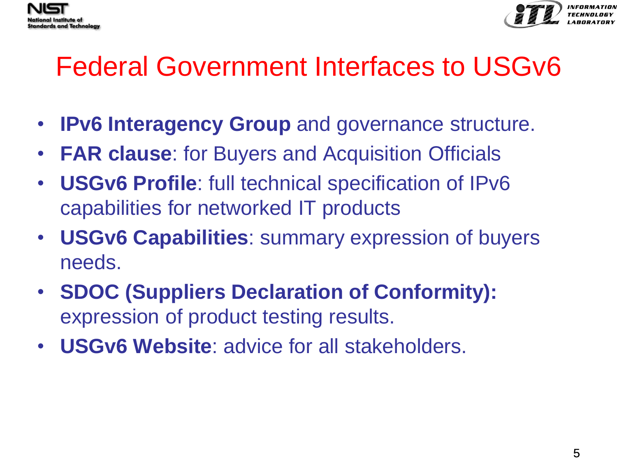



# Federal Government Interfaces to USGv6

- **IPv6 Interagency Group** and governance structure.
- **FAR clause**: for Buyers and Acquisition Officials
- **USGv6 Profile**: full technical specification of IPv6 capabilities for networked IT products
- **USGv6 Capabilities**: summary expression of buyers needs.
- **SDOC (Suppliers Declaration of Conformity):**  expression of product testing results.
- **USGv6 Website**: advice for all stakeholders.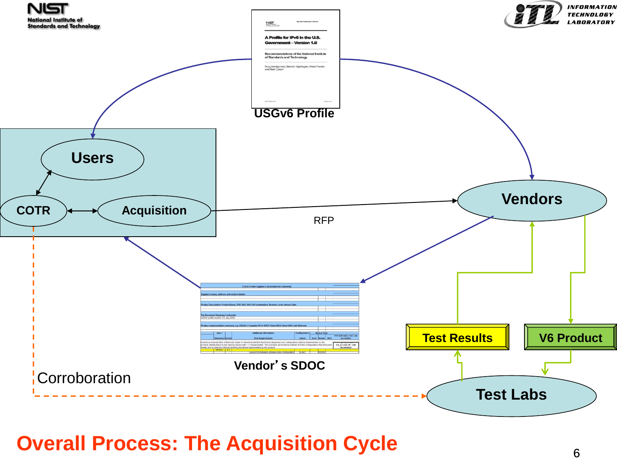

### **Overall Process: The Acquisition Cycle**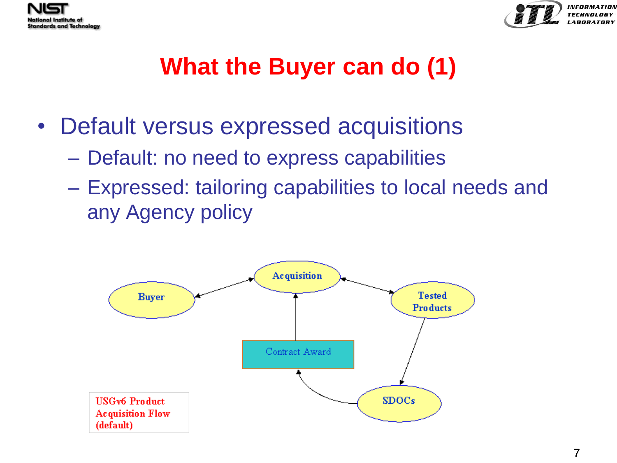



## **What the Buyer can do (1)**

- Default versus expressed acquisitions
	- Default: no need to express capabilities
	- Expressed: tailoring capabilities to local needs and any Agency policy

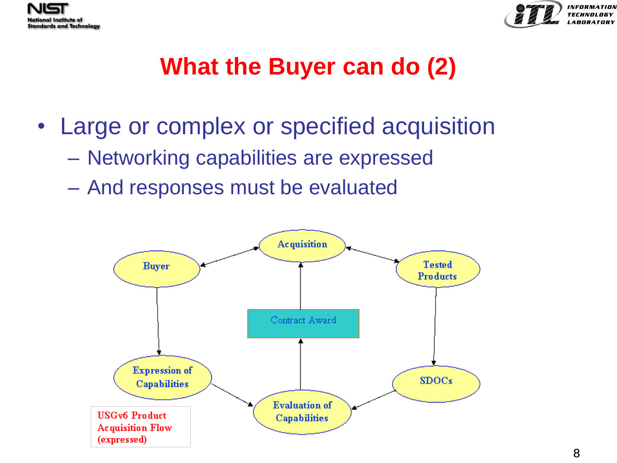



## **What the Buyer can do (2)**

- Large or complex or specified acquisition
	- Networking capabilities are expressed
	- And responses must be evaluated

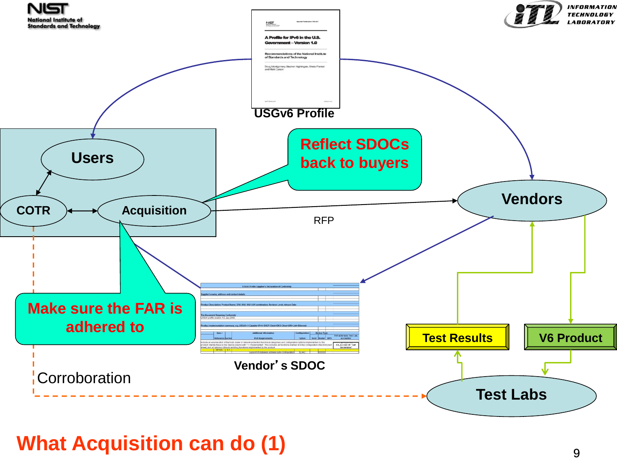

### **What Acquisition can do (1)**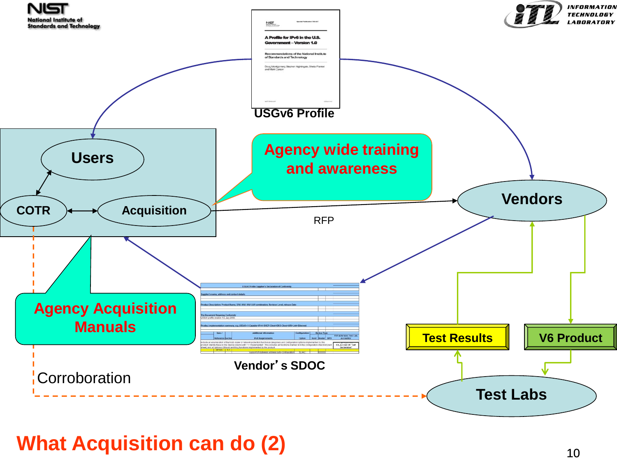

### **What Acquisition can do (2)**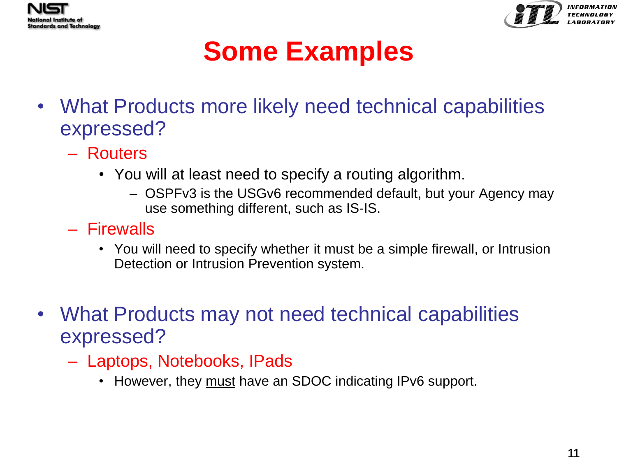



# **Some Examples**

- What Products more likely need technical capabilities expressed?
	- Routers
		- You will at least need to specify a routing algorithm.
			- OSPFv3 is the USGv6 recommended default, but your Agency may use something different, such as IS-IS.
	- Firewalls
		- You will need to specify whether it must be a simple firewall, or Intrusion Detection or Intrusion Prevention system.
- What Products may not need technical capabilities expressed?
	- Laptops, Notebooks, IPads
		- However, they must have an SDOC indicating IPv6 support.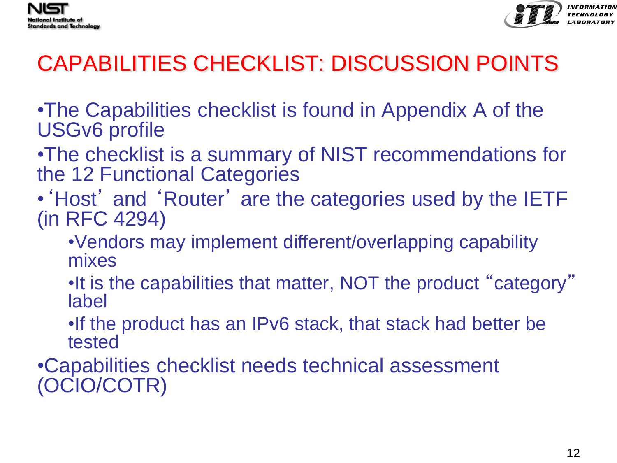



## CAPABILITIES CHECKLIST: DISCUSSION POINTS

•The Capabilities checklist is found in Appendix A of the USGv6 profile

- •The checklist is a summary of NIST recommendations for the 12 Functional Categories
- 'Host' and 'Router' are the categories used by the IETF (in RFC 4294)
	- •Vendors may implement different/overlapping capability mixes
	- •It is the capabilities that matter, NOT the product "category" label
	- •If the product has an IPv6 stack, that stack had better be tested

•Capabilities checklist needs technical assessment (OCIO/COTR)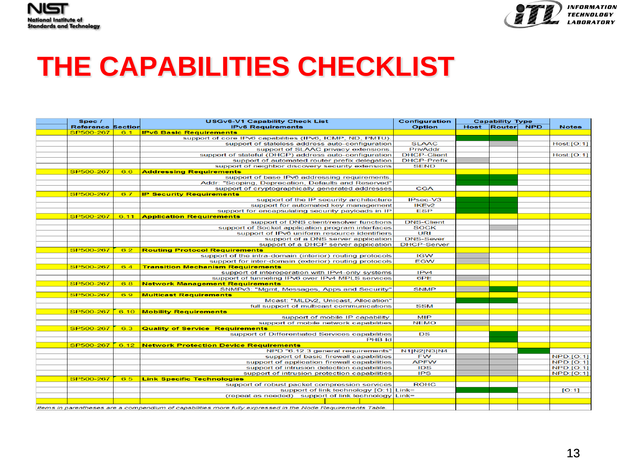



INFORMATION TECHNOLOGY *LARORATORY* 

# **THE CAPABILITIES CHECKLIST**

| Spec /                   |     | <b>USGv6-V1 Capability Check List</b>                                                                     | Configuration      | <b>Capability Type</b> |                 |  |                  |
|--------------------------|-----|-----------------------------------------------------------------------------------------------------------|--------------------|------------------------|-----------------|--|------------------|
| <b>Reference Section</b> |     | <b>IPv6 Requirements</b>                                                                                  | <b>Option</b>      |                        | Host Router NPD |  | <b>Notes</b>     |
| SP500-267                | 6.1 | <b>IPv6 Basic Requirements</b>                                                                            |                    |                        |                 |  |                  |
|                          |     | support of core IPv6 capabilities (IPv6, ICMP, ND, PMTU)                                                  |                    |                        |                 |  |                  |
|                          |     | support of stateless address auto-configuration                                                           | <b>SLAAC</b>       |                        |                 |  | Host: [O:1]      |
|                          |     | support of SLAAC privacy extensions.                                                                      | PrivAddr           |                        |                 |  |                  |
|                          |     | support of stateful (DHCP) address auto-configuration                                                     | <b>DHCP-Client</b> |                        |                 |  | Host: [O:1]      |
|                          |     | support of automated router prefix delegation                                                             | <b>DHCP-Prefix</b> |                        |                 |  |                  |
|                          |     | support of neighbor discovery security extensions                                                         | <b>SEND</b>        |                        |                 |  |                  |
| SP500-267                | 6.6 | <b>Addressing Requirements</b>                                                                            |                    |                        |                 |  |                  |
|                          |     | support of base IPv6 addressing requirements                                                              |                    |                        |                 |  |                  |
|                          |     | Addr: "Scoping, Deprecation, Defaults and Reserved"                                                       |                    |                        |                 |  |                  |
|                          |     | support of cryptographically generated addresses                                                          | <b>CGA</b>         |                        |                 |  |                  |
| SP500-267                | 6.7 | <b>IP Security Requirements</b>                                                                           |                    |                        |                 |  |                  |
|                          |     | support of the IP security architecture                                                                   | IPsec-V3           |                        |                 |  |                  |
|                          |     | support for automated key management                                                                      | IKE <sub>v2</sub>  |                        |                 |  |                  |
|                          |     | support for encapsulating security payloads in IP                                                         | <b>ESP</b>         |                        |                 |  |                  |
| SP500-267                |     | 6.11 Application Requirements                                                                             |                    |                        |                 |  |                  |
|                          |     | support of DNS client/resolver functions                                                                  | <b>DNS-Client</b>  |                        |                 |  |                  |
|                          |     | support of Socket application program interfaces                                                          | <b>SOCK</b>        |                        |                 |  |                  |
|                          |     | support of IPv6 uniform resource identifiers                                                              | URI                |                        |                 |  |                  |
|                          |     | support of a DNS server application                                                                       | <b>DNS-Sever</b>   |                        |                 |  |                  |
|                          |     | support of a DHCP server application                                                                      | <b>DHCP-Server</b> |                        |                 |  |                  |
| SP500-267                | 6.2 | <b>Routing Protocol Requirements</b>                                                                      |                    |                        |                 |  |                  |
|                          |     | support of the intra-domain (interior) routing protocols                                                  | <b>IGW</b>         |                        |                 |  |                  |
|                          |     | support for inter-domain (exterior) routing protocols                                                     | <b>EGW</b>         |                        |                 |  |                  |
| SP500-267                | 6.4 | <b>Transition Mechanism Requirements</b>                                                                  |                    |                        |                 |  |                  |
|                          |     | support of interoperation with IPv4-only systems                                                          | IPv4               |                        |                 |  |                  |
|                          |     | support of tunneling IPv6 over IPv4 MPLS services                                                         | 6PE                |                        |                 |  |                  |
| SP500-267                | 6.8 | <b>Network Management Requirements</b>                                                                    |                    |                        |                 |  |                  |
|                          |     | SNMPv3: "Mgmt, Messages, Apps and Security"                                                               | <b>SNMP</b>        |                        |                 |  |                  |
| SP500-267                | 6.9 | <b>Multicast Requirements</b>                                                                             |                    |                        |                 |  |                  |
|                          |     | Mcast: "MLDv2, Unicast, Allocation"                                                                       |                    |                        |                 |  |                  |
|                          |     | full support of multicast communications                                                                  | <b>SSM</b>         |                        |                 |  |                  |
| SP500-267                |     | 6.10 Mobility Requirements                                                                                |                    |                        |                 |  |                  |
|                          |     | support of mobile IP capability                                                                           | <b>MIP</b>         |                        |                 |  |                  |
|                          |     | support of mobile network capabilities                                                                    | <b>NEMO</b>        |                        |                 |  |                  |
| SP500-267                | 6.3 | <b>Quality of Service Requirements</b>                                                                    |                    |                        |                 |  |                  |
|                          |     | support of Differentiated Services capabilities                                                           | DS                 |                        |                 |  |                  |
|                          |     | PHB Id                                                                                                    |                    |                        |                 |  |                  |
| SP500-267                |     | 6.12 Network Protection Device Requirements                                                               |                    |                        |                 |  |                  |
|                          |     | NPD "6.12.3 general requirements"                                                                         | N1 N2 N3 N4        |                        |                 |  |                  |
|                          |     | support of basic firewall capabilities                                                                    | <b>FW</b>          |                        |                 |  | <b>NPD:[O:1]</b> |
|                          |     | support of application firewall capabilities                                                              | <b>APFW</b>        |                        |                 |  | NPD: [O:1]       |
|                          |     | support of intrusion detection capabilities                                                               | <b>IDS</b>         |                        |                 |  | <b>NPD:[O:1]</b> |
|                          |     | support of intrusion protection capabilities                                                              | <b>IPS</b>         |                        |                 |  | <b>NPD:[O:1]</b> |
| SP500-267                | 6.5 | <b>Link Specific Technologies</b>                                                                         |                    |                        |                 |  |                  |
|                          |     | support of robust packet compression services                                                             | <b>ROHC</b>        |                        |                 |  |                  |
|                          |     | support of link technology [O:1] Link=                                                                    |                    |                        |                 |  |                  |
|                          |     |                                                                                                           |                    |                        |                 |  | [O:1]            |
|                          |     | (repeat as needed) support of link technology Link=                                                       |                    |                        |                 |  |                  |
|                          |     |                                                                                                           |                    |                        |                 |  |                  |
|                          |     | Items in parentheses are a compendium of capabilities more fully expressed in the Node Requirements Table |                    |                        |                 |  |                  |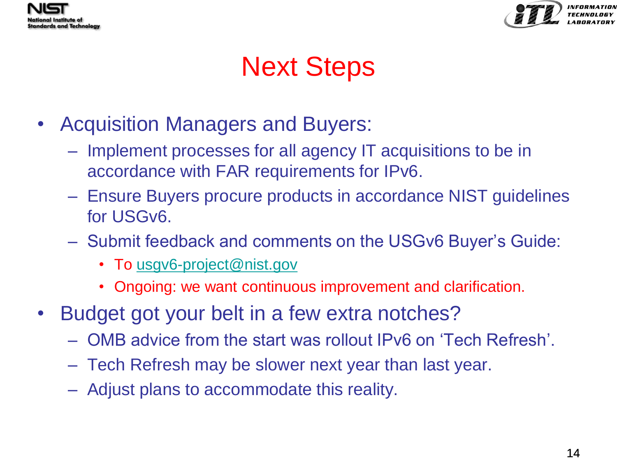



# Next Steps

- Acquisition Managers and Buyers:
	- Implement processes for all agency IT acquisitions to be in accordance with FAR requirements for IPv6.
	- Ensure Buyers procure products in accordance NIST guidelines for USGv6.
	- Submit feedback and comments on the USGv6 Buyer's Guide:
		- To [usgv6-project@nist.gov](mailto:usgv6-project@nist.gov)
		- Ongoing: we want continuous improvement and clarification.
- Budget got your belt in a few extra notches?
	- OMB advice from the start was rollout IPv6 on 'Tech Refresh'.
	- Tech Refresh may be slower next year than last year.
	- Adjust plans to accommodate this reality.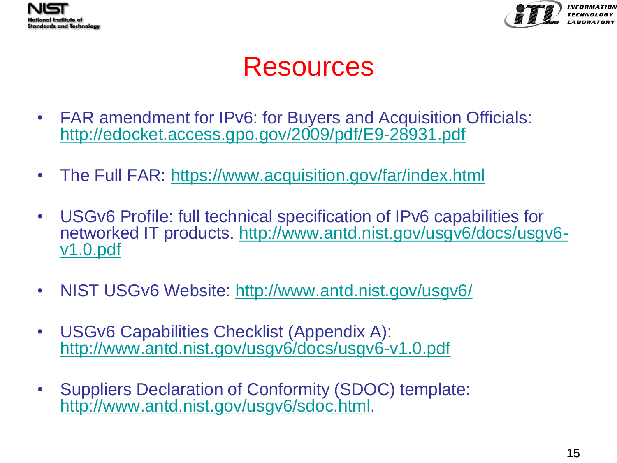



*INFORMATIO* 

## Resources

- FAR amendment for IPv6: for Buyers and Acquisition Officials: <http://edocket.access.gpo.gov/2009/pdf/E9-28931.pdf>
- The Full FAR:<https://www.acquisition.gov/far/index.html>
- USGv6 Profile: full technical specification of IPv6 capabilities for networked IT products. [http://www.antd.nist.gov/usgv6/docs/usgv6](http://www.antd.nist.gov/usgv6/docs/usgv6-v1.0.pdf) [v1.0.pdf](http://www.antd.nist.gov/usgv6/docs/usgv6-v1.0.pdf)
- NIST USGv6 Website: <http://www.antd.nist.gov/usgv6/>
- USGv6 Capabilities Checklist (Appendix A): <http://www.antd.nist.gov/usgv6/docs/usgv6-v1.0.pdf>
- Suppliers Declaration of Conformity (SDOC) template: <http://www.antd.nist.gov/usgv6/sdoc.html>.